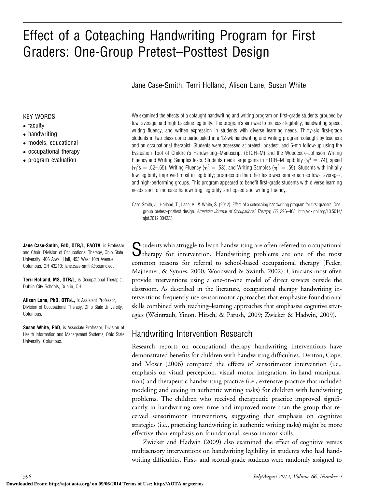# Effect of a Coteaching Handwriting Program for First Graders: One-Group Pretest–Posttest Design

Jane Case-Smith, Terri Holland, Alison Lane, Susan White

#### KEY WORDS

- faculty
- handwriting
- models, educational
- occupational therapy
- program evaluation

We examined the effects of a cotaught handwriting and writing program on first-grade students grouped by low, average, and high baseline legibility. The program's aim was to increase legibility, handwriting speed, writing fluency, and written expression in students with diverse learning needs. Thirty-six first-grade students in two classrooms participated in a 12-wk handwriting and writing program cotaught by teachers and an occupational therapist. Students were assessed at pretest, posttest, and 6-mo follow-up using the Evaluation Tool of Children's Handwriting–Manuscript (ETCH–M) and the Woodcock–Johnson Writing Fluency and Writing Samples tests. Students made large gains in ETCH–M legibility ( $\eta^2 = .74$ ), speed  $(\eta^2 s = .52 - .65)$ , Writing Fluency ( $\eta^2 = .58$ ), and Writing Samples ( $\eta^2 = .59$ ). Students with initially low legibility improved most in legibility; progress on the other tests was similar across low-, average-, and high-performing groups. This program appeared to benefit first-grade students with diverse learning needs and to increase handwriting legibility and speed and writing fluency.

Case-Smith, J., Holland, T., Lane, A., & White, S. (2012). Effect of a coteaching handwriting program for first graders: Onegroup pretest–posttest design. American Journal of Occupational Therapy, 66, 396–405. http://dx.doi.org/10.5014/ ajot.2012.004333

Students who struggle to learn handwriting are often referred to occupational therapy for intervention. Handwriting problems are one of the most common reasons for referral to school-based occupational therapy (Feder, Majnemer, & Synnes, 2000; Woodward & Swinth, 2002). Clinicians most often provide interventions using a one-on-one model of direct services outside the classroom. As described in the literature, occupational therapy handwriting interventions frequently use sensorimotor approaches that emphasize foundational skills combined with teaching–learning approaches that emphasize cognitive strategies (Weintraub, Yinon, Hirsch, & Parush, 2009; Zwicker & Hadwin, 2009).

### Handwriting Intervention Research

Research reports on occupational therapy handwriting interventions have demonstrated benefits for children with handwriting difficulties. Denton, Cope, and Moser (2006) compared the effects of sensorimotor intervention (i.e., emphasis on visual perception, visual–motor integration, in-hand manipulation) and therapeutic handwriting practice (i.e., extensive practice that included modeling and cueing in authentic writing tasks) for children with handwriting problems. The children who received therapeutic practice improved significantly in handwriting over time and improved more than the group that received sensorimotor interventions, suggesting that emphasis on cognitive strategies (i.e., practicing handwriting in authentic writing tasks) might be more effective than emphasis on foundational, sensorimotor skills.

Zwicker and Hadwin (2009) also examined the effect of cognitive versus multisensory interventions on handwriting legibility in students who had handwriting difficulties. First- and second-grade students were randomly assigned to

Jane Case-Smith, EdD, OTR/L, FAOTA, is Professor and Chair, Division of Occupational Therapy, Ohio State University, 406 Atwell Hall, 453 West 10th Avenue, Columbus, OH 43210; [jane.case-smith@osumc.edu](mailto:jane.case-smith@osumc.edu)

Terri Holland, MS, OTR/L, is Occupational Therapist, Dublin City Schools, Dublin, OH.

Alison Lane, PhD, OTR/L, is Assistant Professor, Division of Occupational Therapy, Ohio State University, Columbus.

Susan White, PhD, is Associate Professor, Division of Health Information and Management Systems, Ohio State University, Columbus.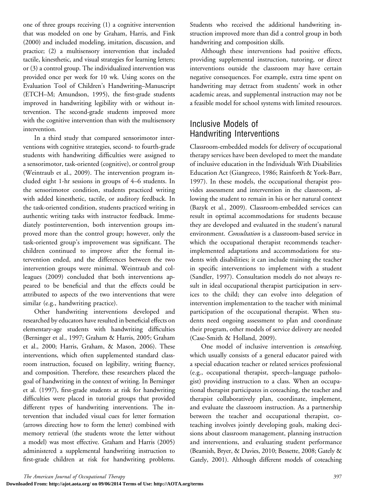one of three groups receiving (1) a cognitive intervention that was modeled on one by Graham, Harris, and Fink (2000) and included modeling, imitation, discussion, and practice; (2) a multisensory intervention that included tactile, kinesthetic, and visual strategies for learning letters; or (3) a control group. The individualized intervention was provided once per week for 10 wk. Using scores on the Evaluation Tool of Children's Handwriting–Manuscript (ETCH–M; Amundson, 1995), the first-grade students improved in handwriting legibility with or without intervention. The second-grade students improved more with the cognitive intervention than with the multisensory intervention.

In a third study that compared sensorimotor interventions with cognitive strategies, second- to fourth-grade students with handwriting difficulties were assigned to a sensorimotor, task-oriented (cognitive), or control group (Weintraub et al., 2009). The intervention program included eight 1-hr sessions in groups of 4–6 students. In the sensorimotor condition, students practiced writing with added kinesthetic, tactile, or auditory feedback. In the task-oriented condition, students practiced writing in authentic writing tasks with instructor feedback. Immediately postintervention, both intervention groups improved more than the control group; however, only the task-oriented group's improvement was significant. The children continued to improve after the formal intervention ended, and the differences between the two intervention groups were minimal. Weintraub and colleagues (2009) concluded that both interventions appeared to be beneficial and that the effects could be attributed to aspects of the two interventions that were similar (e.g., handwriting practice).

Other handwriting interventions developed and researched by educators have resulted in beneficial effects on elementary-age students with handwriting difficulties (Berninger et al., 1997; Graham & Harris, 2005; Graham et al., 2000; Harris, Graham, & Mason, 2006). These interventions, which often supplemented standard classroom instruction, focused on legibility, writing fluency, and composition. Therefore, these researchers placed the goal of handwriting in the context of writing. In Berninger et al. (1997), first-grade students at risk for handwriting difficulties were placed in tutorial groups that provided different types of handwriting interventions. The intervention that included visual cues for letter formation (arrows directing how to form the letter) combined with memory retrieval (the students wrote the letter without a model) was most effective. Graham and Harris (2005) administered a supplemental handwriting instruction to first-grade children at risk for handwriting problems.

Students who received the additional handwriting instruction improved more than did a control group in both handwriting and composition skills.

Although these interventions had positive effects, providing supplemental instruction, tutoring, or direct interventions outside the classroom may have certain negative consequences. For example, extra time spent on handwriting may detract from students' work in other academic areas, and supplemental instruction may not be a feasible model for school systems with limited resources.

# Inclusive Models of Handwriting Interventions

Classroom-embedded models for delivery of occupational therapy services have been developed to meet the mandate of inclusive education in the Individuals With Disabilities Education Act (Giangreco, 1986; Rainforth & York-Barr, 1997). In these models, the occupational therapist provides assessment and intervention in the classroom, allowing the student to remain in his or her natural context (Bazyk et al., 2009). Classroom-embedded services can result in optimal accommodations for students because they are developed and evaluated in the student's natural environment. Consultation is a classroom-based service in which the occupational therapist recommends teacherimplemented adaptations and accommodations for students with disabilities; it can include training the teacher in specific interventions to implement with a student (Sandler, 1997). Consultation models do not always result in ideal occupational therapist participation in services to the child; they can evolve into delegation of intervention implementation to the teacher with minimal participation of the occupational therapist. When students need ongoing assessment to plan and coordinate their program, other models of service delivery are needed (Case-Smith & Holland, 2009).

One model of inclusive intervention is coteaching, which usually consists of a general educator paired with a special education teacher or related services professional (e.g., occupational therapist, speech–language pathologist) providing instruction to a class. When an occupational therapist participates in coteaching, the teacher and therapist collaboratively plan, coordinate, implement, and evaluate the classroom instruction. As a partnership between the teacher and occupational therapist, coteaching involves jointly developing goals, making decisions about classroom management, planning instruction and interventions, and evaluating student performance (Beamish, Bryer, & Davies, 2010; Bessette, 2008; Gately & Gately, 2001). Although different models of coteaching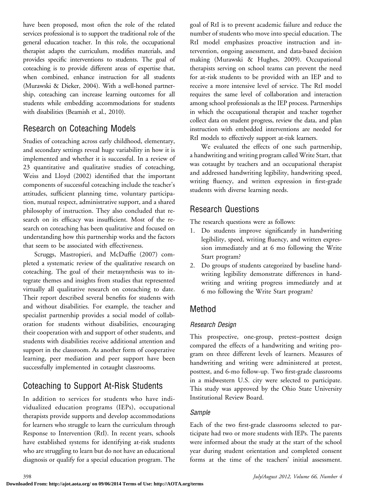have been proposed, most often the role of the related services professional is to support the traditional role of the general education teacher. In this role, the occupational therapist adapts the curriculum, modifies materials, and provides specific interventions to students. The goal of coteaching is to provide different areas of expertise that, when combined, enhance instruction for all students (Murawski & Dieker, 2004). With a well-honed partnership, coteaching can increase learning outcomes for all students while embedding accommodations for students with disabilities (Beamish et al., 2010).

# Research on Coteaching Models

Studies of coteaching across early childhood, elementary, and secondary settings reveal huge variability in how it is implemented and whether it is successful. In a review of 23 quantitative and qualitative studies of coteaching, Weiss and Lloyd (2002) identified that the important components of successful coteaching include the teacher's attitudes, sufficient planning time, voluntary participation, mutual respect, administrative support, and a shared philosophy of instruction. They also concluded that research on its efficacy was insufficient. Most of the research on coteaching has been qualitative and focused on understanding how this partnership works and the factors that seem to be associated with effectiveness.

Scruggs, Mastropieri, and McDuffie (2007) completed a systematic review of the qualitative research on coteaching. The goal of their metasynthesis was to integrate themes and insights from studies that represented virtually all qualitative research on coteaching to date. Their report described several benefits for students with and without disabilities. For example, the teacher and specialist partnership provides a social model of collaboration for students without disabilities, encouraging their cooperation with and support of other students, and students with disabilities receive additional attention and support in the classroom. As another form of cooperative learning, peer mediation and peer support have been successfully implemented in cotaught classrooms.

# Coteaching to Support At-Risk Students

In addition to services for students who have individualized education programs (IEPs), occupational therapists provide supports and develop accommodations for learners who struggle to learn the curriculum through Response to Intervention (RtI). In recent years, schools have established systems for identifying at-risk students who are struggling to learn but do not have an educational diagnosis or qualify for a special education program. The goal of RtI is to prevent academic failure and reduce the number of students who move into special education. The RtI model emphasizes proactive instruction and intervention, ongoing assessment, and data-based decision making (Murawski & Hughes, 2009). Occupational therapists serving on school teams can prevent the need for at-risk students to be provided with an IEP and to receive a more intensive level of service. The RtI model requires the same level of collaboration and interaction among school professionals as the IEP process. Partnerships in which the occupational therapist and teacher together collect data on student progress, review the data, and plan instruction with embedded interventions are needed for RtI models to effectively support at-risk learners.

We evaluated the effects of one such partnership, a handwriting and writing program called Write Start, that was cotaught by teachers and an occupational therapist and addressed handwriting legibility, handwriting speed, writing fluency, and written expression in first-grade students with diverse learning needs.

## Research Questions

The research questions were as follows:

- 1. Do students improve significantly in handwriting legibility, speed, writing fluency, and written expression immediately and at 6 mo following the Write Start program?
- 2. Do groups of students categorized by baseline handwriting legibility demonstrate differences in handwriting and writing progress immediately and at 6 mo following the Write Start program?

## Method

### Research Design

This prospective, one-group, pretest–posttest design compared the effects of a handwriting and writing program on three different levels of learners. Measures of handwriting and writing were administered at pretest, posttest, and 6-mo follow-up. Two first-grade classrooms in a midwestern U.S. city were selected to participate. This study was approved by the Ohio State University Institutional Review Board.

### Sample

Each of the two first-grade classrooms selected to participate had two or more students with IEPs. The parents were informed about the study at the start of the school year during student orientation and completed consent forms at the time of the teachers' initial assessment.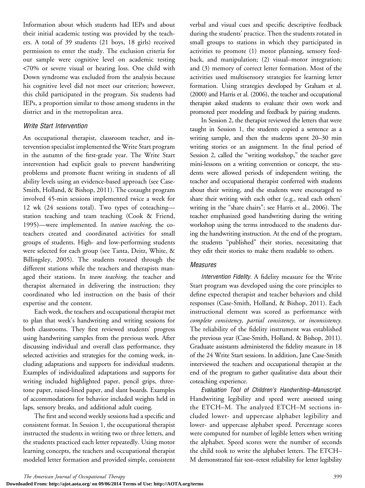Information about which students had IEPs and about their initial academic testing was provided by the teachers. A total of 39 students (21 boys, 18 girls) received permission to enter the study. The exclusion criteria for our sample were cognitive level on academic testing <70% or severe visual or hearing loss. One child with Down syndrome was excluded from the analysis because his cognitive level did not meet our criterion; however, this child participated in the program. Six students had IEPs, a proportion similar to those among students in the district and in the metropolitan area.

#### Write Start Intervention

An occupational therapist, classroom teacher, and intervention specialist implemented the Write Start program in the autumn of the first-grade year. The Write Start intervention had explicit goals to prevent handwriting problems and promote fluent writing in students of all ability levels using an evidence-based approach (see Case-Smith, Holland, & Bishop, 2011). The cotaught program involved 45-min sessions implemented twice a week for 12 wk (24 sessions total). Two types of coteaching station teaching and team teaching (Cook & Friend, 1995)—were implemented. In station teaching, the coteachers created and coordinated activities for small groups of students. High- and low-performing students were selected for each group (see Tanta, Deitz, White, & Billingsley, 2005). The students rotated through the different stations while the teachers and therapists managed their stations. In team teaching, the teacher and therapist alternated in delivering the instruction; they coordinated who led instruction on the basis of their expertise and the content.

Each week, the teachers and occupational therapist met to plan that week's handwriting and writing sessions for both classrooms. They first reviewed students' progress using handwriting samples from the previous week. After discussing individual and overall class performance, they selected activities and strategies for the coming week, including adaptations and supports for individual students. Examples of individualized adaptations and supports for writing included highlighted paper, pencil grips, threetone paper, raised-lined paper, and slant boards. Examples of accommodations for behavior included weights held in laps, sensory breaks, and additional adult cueing.

The first and second weekly sessions had a specific and consistent format. In Session 1, the occupational therapist instructed the students in writing two or three letters, and the students practiced each letter repeatedly. Using motor learning concepts, the teachers and occupational therapist modeled letter formation and provided simple, consistent verbal and visual cues and specific descriptive feedback during the students' practice. Then the students rotated in small groups to stations in which they participated in activities to promote (1) motor planning, sensory feedback, and manipulation; (2) visual–motor integration; and (3) memory of correct letter formation. Most of the activities used multisensory strategies for learning letter formation. Using strategies developed by Graham et al. (2000) and Harris et al. (2006), the teacher and occupational therapist asked students to evaluate their own work and promoted peer modeling and feedback by pairing students.

In Session 2, the therapist reviewed the letters that were taught in Session 1, the students copied a sentence as a writing sample, and then the students spent 20–30 min writing stories or an assignment. In the final period of Session 2, called the "writing workshop," the teacher gave mini-lessons on a writing convention or concept, the students were allowed periods of independent writing, the teacher and occupational therapist conferred with students about their writing, and the students were encouraged to share their writing with each other (e.g., read each others' writing in the "share chairs"; see Harris et al., 2006). The teacher emphasized good handwriting during the writing workshop using the terms introduced to the students during the handwriting instruction. At the end of the program, the students "published" their stories, necessitating that they edit their stories to make them readable to others.

#### Measures

Intervention Fidelity. A fidelity measure for the Write Start program was developed using the core principles to define expected therapist and teacher behaviors and child responses (Case-Smith, Holland, & Bishop, 2011). Each instructional element was scored as performance with complete consistency, partial consistency, or inconsistency. The reliability of the fidelity instrument was established the previous year (Case-Smith, Holland, & Bishop, 2011). Graduate assistants administered the fidelity measure in 18 of the 24 Write Start sessions. In addition, Jane Case-Smith interviewed the teachers and occupational therapist at the end of the program to gather qualitative data about their coteaching experience.

Evaluation Tool of Children's Handwriting–Manuscript. Handwriting legibility and speed were assessed using the ETCH–M. The analyzed ETCH–M sections included lower- and uppercase alphabet legibility and lower- and uppercase alphabet speed. Percentage scores were computed for number of legible letters when writing the alphabet. Speed scores were the number of seconds the child took to write the alphabet letters. The ETCH– M demonstrated fair test–retest reliability for letter legibility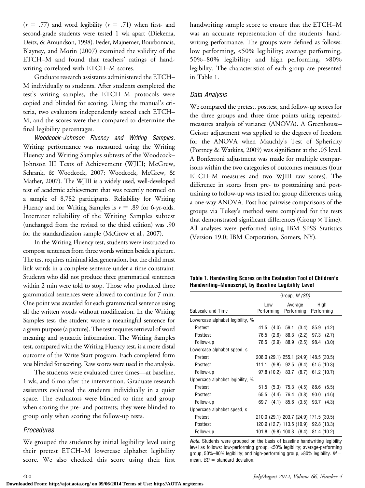$(r = .77)$  and word legibility  $(r = .71)$  when first- and second-grade students were tested 1 wk apart (Diekema, Deitz, & Amundson, 1998). Feder, Majnemer, Bourbonnais, Blayney, and Morin (2007) examined the validity of the ETCH–M and found that teachers' ratings of handwriting correlated with ETCH–M scores.

Graduate research assistants administered the ETCH– M individually to students. After students completed the test's writing samples, the ETCH–M protocols were copied and blinded for scoring. Using the manual's criteria, two evaluators independently scored each ETCH– M, and the scores were then compared to determine the final legibility percentages.

Woodcock–Johnson Fluency and Writing Samples. Writing performance was measured using the Writing Fluency and Writing Samples subtests of the Woodcock– Johnson III Tests of Achievement (WJIII; McGrew, Schrank, & Woodcock, 2007; Woodcock, McGrew, & Mather, 2007). The WJIII is a widely used, well-developed test of academic achievement that was recently normed on a sample of 8,782 participants. Reliability for Writing Fluency and for Writing Samples is  $r = .89$  for 6-yr-olds. Interrater reliability of the Writing Samples subtest (unchanged from the revised to the third edition) was .90 for the standardization sample (McGrew et al., 2007).

In the Writing Fluency test, students were instructed to compose sentences from three words written beside a picture. The test requires minimal idea generation, but the child must link words in a complete sentence under a time constraint. Students who did not produce three grammatical sentences within 2 min were told to stop. Those who produced three grammatical sentences were allowed to continue for 7 min. One point was awarded for each grammatical sentence using all the written words without modification. In the Writing Samples test, the student wrote a meaningful sentence for a given purpose (a picture). The test requires retrieval of word meaning and syntactic information. The Writing Samples test, compared with the Writing Fluency test, is a more distal outcome of the Write Start program. Each completed form was blinded for scoring. Raw scores were used in the analysis.

The students were evaluated three times—at baseline, 1 wk, and 6 mo after the intervention. Graduate research assistants evaluated the students individually in a quiet space. The evaluators were blinded to time and group when scoring the pre- and posttests; they were blinded to group only when scoring the follow-up tests.

#### Procedures

We grouped the students by initial legibility level using their pretest ETCH–M lowercase alphabet legibility score. We also checked this score using their first handwriting sample score to ensure that the ETCH–M was an accurate representation of the students' handwriting performance. The groups were defined as follows: low performing, <50% legibility; average performing, 50%–80% legibility; and high performing, >80% legibility. The characteristics of each group are presented in Table 1.

#### Data Analysis

We compared the pretest, posttest, and follow-up scores for the three groups and three time points using repeatedmeasures analysis of variance (ANOVA). A Greenhouse– Geisser adjustment was applied to the degrees of freedom for the ANOVA when Mauchly's Test of Sphericity (Portney & Watkins, 2009) was significant at the .05 level. A Bonferroni adjustment was made for multiple comparisons within the two categories of outcomes measures (four ETCH–M measures and two WJIII raw scores). The difference in scores from pre- to posttraining and posttraining to follow-up was tested for group differences using a one-way ANOVA. Post hoc pairwise comparisons of the groups via Tukey's method were completed for the tests that demonstrated significant differences (Group  $\times$  Time). All analyses were performed using IBM SPSS Statistics (Version 19.0; IBM Corporation, Somers, NY).

| Table 1. Handwriting Scores on the Evaluation Tool of Children's |
|------------------------------------------------------------------|
| Handwriting-Manuscript, by Baseline Legibility Level             |

|                                  | Group, <i>M (SD)</i> |                                        |                       |                       |                    |             |
|----------------------------------|----------------------|----------------------------------------|-----------------------|-----------------------|--------------------|-------------|
| Subscale and Time                | Low<br>Performing    |                                        | Average<br>Performing |                       | High<br>Performing |             |
| Lowercase alphabet legibility, % |                      |                                        |                       |                       |                    |             |
| Pretest                          | 41.5                 | (4.0)                                  | 59.1                  | (3.4)                 | 85.9               | (4.2)       |
| Posttest                         | 76.5                 | (2.6)                                  | 88.3                  | (2.2)                 | 97.3               | (2.7)       |
| Follow-up                        | 78.5                 | (2.9)                                  | 88.9                  | (2.5)                 | 98.4               | (3.0)       |
| Lowercase alphabet speed, s      |                      |                                        |                       |                       |                    |             |
| Pretest                          |                      | 208.0 (29.1) 255.1 (24.9) 148.5 (30.5) |                       |                       |                    |             |
| Posttest                         | 111.1                | (9.8)                                  |                       | 92.5 (8.4)            |                    | 61.5(10.3)  |
| Follow-up                        |                      | 97.8 (10.2) 83.7 (8.7)                 |                       |                       |                    | 61.2(10.7)  |
| Uppercase alphabet legibility, % |                      |                                        |                       |                       |                    |             |
| Pretest                          | 51.5                 | (5.3)                                  | 75.3                  | (4.5)                 | 88.6               | (5.5)       |
| Posttest                         | 65.5                 | (4.4)                                  | 76.4                  | (3.8)                 | 90.0               | (4.6)       |
| Follow-up                        | 69.7                 | (4.1)                                  | 85.6                  | (3.5)                 | 93.7               | (4.3)       |
| Uppercase alphabet speed, s      |                      |                                        |                       |                       |                    |             |
| Pretest                          |                      | 210.0 (29.1) 203.7 (24.9) 171.5 (30.5) |                       |                       |                    |             |
| Posttest                         |                      | 120.9 (12.7) 113.5 (10.9) 92.8 (13.3)  |                       |                       |                    |             |
| Follow-up                        | 101.8                |                                        |                       | $(9.8)$ 100.3 $(8.4)$ |                    | 81.4 (10.2) |

Note. Students were grouped on the basis of baseline handwriting legibility level as follows: low-performing group, <50% legibility; average-performing group, 50%–80% legibility; and high-performing group, >80% legibility.  $M =$ mean,  $SD =$  standard deviation.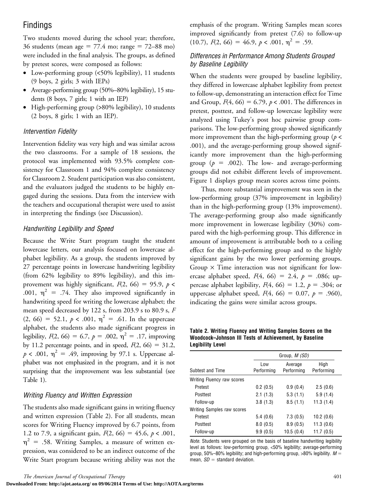### Findings

Two students moved during the school year; therefore, 36 students (mean age =  $77.4$  mo; range =  $72-88$  mo) were included in the final analysis. The groups, as defined by pretest scores, were composed as follows:

- Low-performing group (<50% legibility), 11 students (9 boys, 2 girls; 3 with IEPs)
- Average-performing group (50%–80% legibility), 15 students (8 boys, 7 girls; 1 with an IEP)
- High-performing group (>80% legibility), 10 students (2 boys, 8 girls; 1 with an IEP).

### Intervention Fidelity

Intervention fidelity was very high and was similar across the two classrooms. For a sample of 18 sessions, the protocol was implemented with 93.5% complete consistency for Classroom 1 and 94% complete consistency for Classroom 2. Student participation was also consistent, and the evaluators judged the students to be highly engaged during the sessions. Data from the interview with the teachers and occupational therapist were used to assist in interpreting the findings (see Discussion).

### Handwriting Legibility and Speed

Because the Write Start program taught the student lowercase letters, our analysis focused on lowercase alphabet legibility. As a group, the students improved by 27 percentage points in lowercase handwriting legibility (from 62% legibility to 89% legibility), and this improvement was highly significant,  $F(2, 66) = 95.9$ ,  $p <$ .001,  $\eta^2$  = .74. They also improved significantly in handwriting speed for writing the lowercase alphabet; the mean speed decreased by 122 s, from 203.9 s to 80.9 s, F  $(2, 66) = 52.1, p < .001, \eta^2 = .61$ . In the uppercase alphabet, the students also made significant progress in legibility,  $F(2, 66) = 6.7$ ,  $p = .002$ ,  $\eta^2 = .17$ , improving by 11.2 percentage points, and in speed,  $F(2, 66) = 31.2$ ,  $p < .001$ ,  $\eta^2 = .49$ , improving by 97.1 s. Uppercase alphabet was not emphasized in the program, and it is not surprising that the improvement was less substantial (see Table 1).

### Writing Fluency and Written Expression

The students also made significant gains in writing fluency and written expression (Table 2). For all students, mean scores for Writing Fluency improved by 6.7 points, from 1.2 to 7.9, a significant gain,  $F(2, 66) = 45.6, p < .001$ ,  $\eta^2$  = .58. Writing Samples, a measure of written expression, was considered to be an indirect outcome of the Write Start program because writing ability was not the

The American Journal of Occupational Therapy 401

**Downloaded From: http://ajot.aota.org/ on 09/06/2014 Terms of Use: http://AOTA.org/terms**

emphasis of the program. Writing Samples mean scores improved significantly from pretest (7.6) to follow-up (10.7),  $F(2, 66) = 46.9, p < .001, \eta^2 = .59$ .

#### Differences in Performance Among Students Grouped by Baseline Legibility

When the students were grouped by baseline legibility, they differed in lowercase alphabet legibility from pretest to follow-up, demonstrating an interaction effect for Time and Group,  $F(4, 66) = 6.79$ ,  $p < .001$ . The differences in pretest, posttest, and follow-up lowercase legibility were analyzed using Tukey's post hoc pairwise group comparisons. The low-performing group showed significantly more improvement than the high-performing group ( $p$  < .001), and the average-performing group showed significantly more improvement than the high-performing group ( $p = .002$ ). The low- and average-performing groups did not exhibit different levels of improvement. Figure 1 displays group mean scores across time points.

Thus, more substantial improvement was seen in the low-performing group (37% improvement in legibility) than in the high-performing group (13% improvement). The average-performing group also made significantly more improvement in lowercase legibility (30%) compared with the high-performing group. This difference in amount of improvement is attributable both to a ceiling effect for the high-performing group and to the highly significant gains by the two lower performing groups. Group  $\times$  Time interaction was not significant for lowercase alphabet speed,  $F(4, 66) = 2.4$ ,  $p = .086$ ; uppercase alphabet legibility,  $F(4, 66) = 1.2$ ,  $p = .304$ ; or uppercase alphabet speed,  $F(4, 66) = 0.07$ ,  $p = .960$ ), indicating the gains were similar across groups.

Table 2. Writing Fluency and Writing Samples Scores on the Woodcock–Johnson III Tests of Achievement, by Baseline Legibility Level

|                            | Group, <i>M (SD)</i> |                       |                    |  |  |  |
|----------------------------|----------------------|-----------------------|--------------------|--|--|--|
| Subtest and Time           | Low<br>Performina    | Average<br>Performing | High<br>Performing |  |  |  |
| Writing Fluency raw scores |                      |                       |                    |  |  |  |
| Pretest                    | 0.2(0.5)             | 0.9(0.4)              | 2.5(0.6)           |  |  |  |
| Posttest                   | 2.1(1.3)             | 5.3(1.1)              | 5.9(1.4)           |  |  |  |
| Follow-up                  | 3.8(1.3)             | 8.5(1.1)              | 11.3(1.4)          |  |  |  |
| Writing Samples raw scores |                      |                       |                    |  |  |  |
| Pretest                    | 5.4(0.6)             | 7.3(0.5)              | 10.2(0.6)          |  |  |  |
| Posttest                   | 8.0(0.5)             | 8.9(0.5)              | 11.3(0.6)          |  |  |  |
| Follow-up                  | 9.9(0.5)             | 10.5(0.4)             | 11.7(0.5)          |  |  |  |

Note. Students were grouped on the basis of baseline handwriting legibility level as follows: low-performing group, <50% legibility; average-performing group, 50%–80% legibility; and high-performing group, >80% legibility.  $M =$ mean,  $SD =$  standard deviation.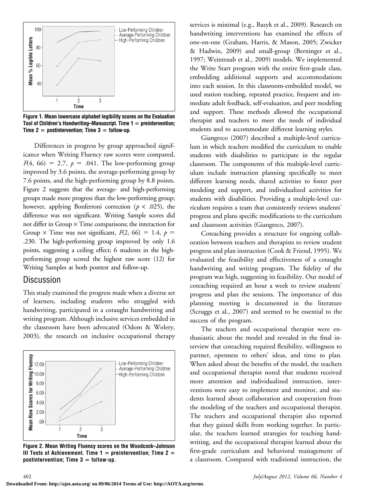

Figure 1. Mean lowercase alphabet legibility scores on the Evaluation Tool of Children's Handwriting–Manuscript. Time  $1 =$  preintervention; Time  $2 =$  postintervention; Time  $3 =$  follow-up.

Differences in progress by group approached significance when Writing Fluency raw scores were compared,  $F(4, 66) = 2.7, p = .041$ . The low-performing group improved by 3.6 points, the average-performing group by 7.6 points, and the high-performing group by 8.8 points. Figure 2 suggests that the average- and high-performing groups made more progress than the low-performing group; however, applying Bonferroni correction ( $p < .025$ ), the difference was not significant. Writing Sample scores did not differ in Group  $\times$  Time comparisons; the interaction for Group  $\times$  Time was not significant,  $F(2, 66) = 1.4$ ,  $p =$ .230. The high-performing group improved by only 1.6 points, suggesting a ceiling effect; 6 students in the highperforming group scored the highest raw score (12) for Writing Samples at both posttest and follow-up.

### **Discussion**

This study examined the progress made when a diverse set of learners, including students who struggled with handwriting, participated in a cotaught handwriting and writing program. Although inclusive services embedded in the classroom have been advocated (Odom & Wolery, 2003), the research on inclusive occupational therapy



Figure 2. Mean Writing Fluency scores on the Woodcock–Johnson III Tests of Achievement. Time  $1 =$  preintervention; Time  $2 =$ postintervention; Time  $3 =$  follow-up.

services is minimal (e.g., Bazyk et al., 2009). Research on handwriting interventions has examined the effects of one-on-one (Graham, Harris, & Mason, 2005; Zwicker & Hadwin, 2009) and small-group (Berninger et al., 1997; Weintraub et al., 2009) models. We implemented the Write Start program with the entire first-grade class, embedding additional supports and accommodations into each session. In this classroom-embedded model, we used station teaching, repeated practice, frequent and immediate adult feedback, self-evaluation, and peer modeling and support. These methods allowed the occupational therapist and teachers to meet the needs of individual students and to accommodate different learning styles.

Giangreco (2007) described a multiple-level curriculum in which teachers modified the curriculum to enable students with disabilities to participate in the regular classroom. The components of this multiple-level curriculum include instruction planning specifically to meet different learning needs, shared activities to foster peer modeling and support, and individualized activities for students with disabilities. Providing a multiple-level curriculum requires a team that consistently reviews students' progress and plans specific modifications to the curriculum and classroom activities (Giangreco, 2007).

Coteaching provides a structure for ongoing collaboration between teachers and therapists to review student progress and plan instruction (Cook & Friend, 1995). We evaluated the feasibility and effectiveness of a cotaught handwriting and writing program. The fidelity of the program was high, suggesting its feasibility. Our model of coteaching required an hour a week to review students' progress and plan the sessions. The importance of this planning meeting is documented in the literature (Scruggs et al., 2007) and seemed to be essential to the success of the program.

The teachers and occupational therapist were enthusiastic about the model and revealed in the final interview that coteaching required flexibility, willingness to partner, openness to others' ideas, and time to plan. When asked about the benefits of the model, the teachers and occupational therapist noted that students received more attention and individualized instruction, interventions were easy to implement and monitor, and students learned about collaboration and cooperation from the modeling of the teachers and occupational therapist. The teachers and occupational therapist also reported that they gained skills from working together. In particular, the teachers learned strategies for teaching handwriting, and the occupational therapist learned about the first-grade curriculum and behavioral management of a classroom. Compared with traditional instruction, the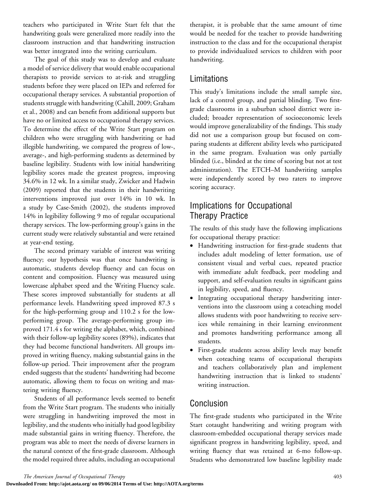teachers who participated in Write Start felt that the handwriting goals were generalized more readily into the classroom instruction and that handwriting instruction was better integrated into the writing curriculum.

The goal of this study was to develop and evaluate a model of service delivery that would enable occupational therapists to provide services to at-risk and struggling students before they were placed on IEPs and referred for occupational therapy services. A substantial proportion of students struggle with handwriting (Cahill, 2009; Graham et al., 2008) and can benefit from additional supports but have no or limited access to occupational therapy services. To determine the effect of the Write Start program on children who were struggling with handwriting or had illegible handwriting, we compared the progress of low-, average-, and high-performing students as determined by baseline legibility. Students with low initial handwriting legibility scores made the greatest progress, improving 34.6% in 12 wk. In a similar study, Zwicker and Hadwin (2009) reported that the students in their handwriting interventions improved just over 14% in 10 wk. In a study by Case-Smith (2002), the students improved 14% in legibility following 9 mo of regular occupational therapy services. The low-performing group's gains in the current study were relatively substantial and were retained at year-end testing.

The second primary variable of interest was writing fluency; our hypothesis was that once handwriting is automatic, students develop fluency and can focus on content and composition. Fluency was measured using lowercase alphabet speed and the Writing Fluency scale. These scores improved substantially for students at all performance levels. Handwriting speed improved 87.3 s for the high-performing group and 110.2 s for the lowperforming group. The average-performing group improved 171.4 s for writing the alphabet, which, combined with their follow-up legibility scores (89%), indicates that they had become functional handwriters. All groups improved in writing fluency, making substantial gains in the follow-up period. Their improvement after the program ended suggests that the students' handwriting had become automatic, allowing them to focus on writing and mastering writing fluency.

Students of all performance levels seemed to benefit from the Write Start program. The students who initially were struggling in handwriting improved the most in legibility, and the students who initially had good legibility made substantial gains in writing fluency. Therefore, the program was able to meet the needs of diverse learners in the natural context of the first-grade classroom. Although the model required three adults, including an occupational

therapist, it is probable that the same amount of time would be needed for the teacher to provide handwriting instruction to the class and for the occupational therapist to provide individualized services to children with poor handwriting.

# Limitations

This study's limitations include the small sample size, lack of a control group, and partial blinding. Two firstgrade classrooms in a suburban school district were included; broader representation of socioeconomic levels would improve generalizability of the findings. This study did not use a comparison group but focused on comparing students at different ability levels who participated in the same program. Evaluation was only partially blinded (i.e., blinded at the time of scoring but not at test administration). The ETCH–M handwriting samples were independently scored by two raters to improve scoring accuracy.

# Implications for Occupational Therapy Practice

The results of this study have the following implications for occupational therapy practice:

- Handwriting instruction for first-grade students that includes adult modeling of letter formation, use of consistent visual and verbal cues, repeated practice with immediate adult feedback, peer modeling and support, and self-evaluation results in significant gains in legibility, speed, and fluency.
- Integrating occupational therapy handwriting interventions into the classroom using a coteaching model allows students with poor handwriting to receive services while remaining in their learning environment and promotes handwriting performance among all students.
- First-grade students across ability levels may benefit when coteaching teams of occupational therapists and teachers collaboratively plan and implement handwriting instruction that is linked to students' writing instruction.

# Conclusion

The first-grade students who participated in the Write Start cotaught handwriting and writing program with classroom-embedded occupational therapy services made significant progress in handwriting legibility, speed, and writing fluency that was retained at 6-mo follow-up. Students who demonstrated low baseline legibility made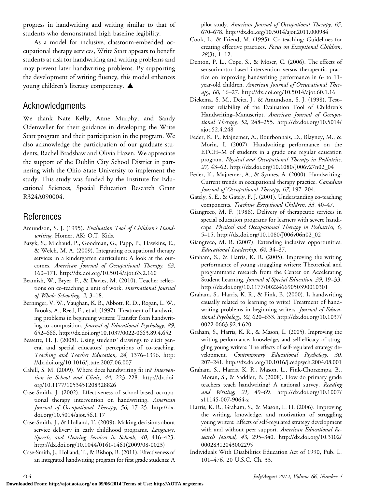progress in handwriting and writing similar to that of students who demonstrated high baseline legibility.

As a model for inclusive, classroom-embedded occupational therapy services, Write Start appears to benefit students at risk for handwriting and writing problems and may prevent later handwriting problems. By supporting the development of writing fluency, this model enhances young children's literacy competency.  $\blacktriangle$ 

### Acknowledgments

We thank Nate Kelly, Anne Murphy, and Sandy Odenweller for their guidance in developing the Write Start program and their participation in the program. We also acknowledge the participation of our graduate students, Rachel Bradshaw and Olivia Hazen. We appreciate the support of the Dublin City School District in partnering with the Ohio State University to implement the study. This study was funded by the Institute for Educational Sciences, Special Education Research Grant R324A090004.

# References

- Amundson, S. J. (1995). Evaluation Tool of Children's Handwriting. Homer, AK: O.T. Kids.
- Bazyk, S., Michaud, P., Goodman, G., Papp, P., Hawkins, E., & Welch, M. A. (2009). Integrating occupational therapy services in a kindergarten curriculum: A look at the outcomes. American Journal of Occupational Therapy, 63, 160–171. http://dx.doi.org/10.5014/ajot.63.2.160
- Beamish, W., Bryer, F., & Davies, M. (2010). Teacher reflections on co-teaching a unit of work. International Journal of Whole Schooling, 2, 3–18.
- Berninger, V. W., Vaughan, K. B., Abbott, R. D., Rogan, L. W., Brooks, A., Reed, E., et al. (1997). Treatment of handwriting problems in beginning writers: Transfer from handwriting to composition. Journal of Educational Psychology, 89, 652–666. http://dx.doi.org/10.1037/0022-0663.89.4.652
- Bessette, H. J. (2008). Using students' drawings to elicit general and special educators' perceptions of co-teaching. Teaching and Teacher Education, 24, 1376–1396. http: //dx.doi.org/10.1016/j.tate.2007.06.007
- Cahill, S. M. (2009). Where does handwriting fit in? Intervention in School and Clinic, 44, 223–228. http://dx.doi. org/10.1177/1053451208328826
- Case-Smith, J. (2002). Effectiveness of school-based occupational therapy intervention on handwriting. American Journal of Occupational Therapy, 56, 17–25. http://dx. doi.org/10.5014/ajot.56.1.17
- Case-Smith, J., & Holland, T. (2009). Making decisions about service delivery in early childhood programs. Language, Speech, and Hearing Services in Schools, 40, 416–423. http://dx.doi.org/10.1044/0161-1461(2009/08-0023)
- Case-Smith, J., Holland, T., & Bishop, B. (2011). Effectiveness of an integrated handwriting program for first grade students: A

pilot study. American Journal of Occupational Therapy, 65, 670–678. http://dx.doi.org/10.5014/ajot.2011.000984

- Cook, L., & Friend, M. (1995). Co-teaching: Guidelines for creating effective practices. Focus on Exceptional Children, 28(3), 1–12.
- Denton, P. L., Cope, S., & Moser, C. (2006). The effects of sensorimotor-based intervention versus therapeutic practice on improving handwriting performance in 6- to 11 year-old children. American Journal of Occupational Therapy, 60, 16–27. http://dx.doi.org/10.5014/ajot.60.1.16
- Diekema, S. M., Deitz, J., & Amundson, S. J. (1998). Test– retest reliability of the Evaluation Tool of Children's Handwriting-Manuscript. American Journal of Occupational Therapy, 52, 248–255. http://dx.doi.org/10.5014/ ajot.52.4.248
- Feder, K. P., Majnemer, A., Bourbonnais, D., Blayney, M., & Morin, I. (2007). Handwriting performance on the ETCH–M of students in a grade one regular education program. Physical and Occupational Therapy in Pediatrics, 27, 43–62. http://dx.doi.org/10.1080/J006v27n02\_04
- Feder, K., Majnemer, A., & Synnes, A. (2000). Handwriting: Current trends in occupational therapy practice. Canadian Journal of Occupational Therapy, 67, 197–204.
- Gately, S. E., & Gately, F. J. (2001). Understanding co-teaching components. Teaching Exceptional Children, 33, 40–47.
- Giangreco, M. F. (1986). Delivery of therapeutic services in special education programs for learners with severe handicaps. Physical and Occupational Therapy in Pediatrics, 6, 5–15. http://dx.doi.org/10.1080/J006v06n02\_02
- Giangreco, M. R. (2007). Extending inclusive opportunities. Educational Leadership, 64, 34–37.
- Graham, S., & Harris, K. R. (2005). Improving the writing performance of young struggling writers: Theoretical and programmatic research from the Center on Accelerating Student Learning. Journal of Special Education, 39, 19–33. http://dx.doi.org/10.1177/00224669050390010301
- Graham, S., Harris, K. R., & Fink, B. (2000). Is handwriting causally related to learning to write? Treatment of handwriting problems in beginning writers. Journal of Educational Psychology, 92, 620–633. http://dx.doi.org/10.1037/ 0022-0663.92.4.620
- Graham, S., Harris, K. R., & Mason, L. (2005). Improving the writing performance, knowledge, and self-efficacy of struggling young writers: The effects of self-regulated strategy development. Contemporary Educational Psychology, 30, 207–241. http://dx.doi.org/10.1016/j.cedpsych.2004.08.001
- Graham, S., Harris, K. R., Mason, L., Fink-Chorzempa, B., Moran, S., & Saddler, B. (2008). How do primary grade teachers teach handwriting? A national survey. Reading and Writing, 21, 49–69. http://dx.doi.org/10.1007/ s11145-007-9064-z
- Harris, K. R., Graham, S., & Mason, L. H. (2006). Improving the writing, knowledge, and motivation of struggling young writers: Effects of self-regulated strategy development with and without peer support. American Educational Research Journal, 43, 295–340. http://dx.doi.org/10.3102/ 00028312043002295
- Individuals With Disabilities Education Act of 1990, Pub. L. 101–476, 20 U.S.C. Ch. 33.